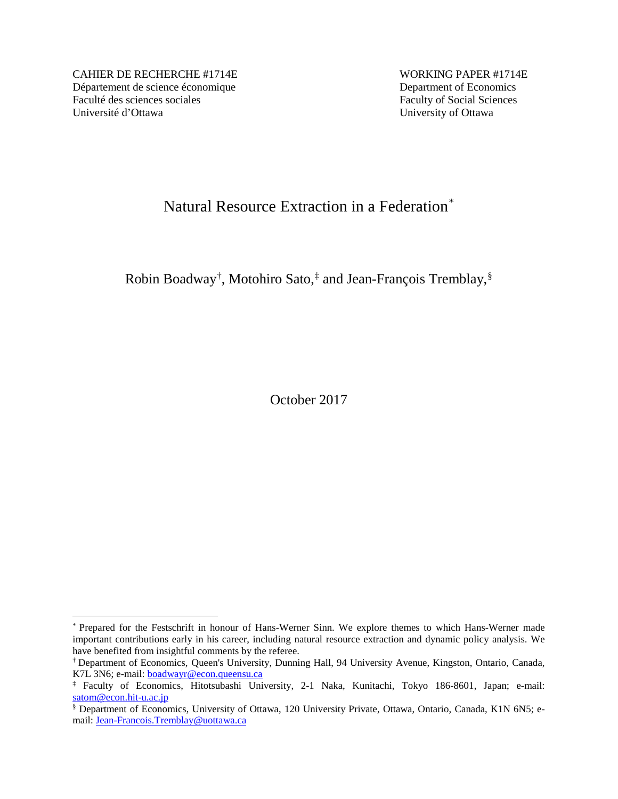CAHIER DE RECHERCHE #1714E WORKING PAPER #1714E Département de science économique<br>
Faculté des sciences sociales<br>
Faculty of Social Sciences Faculté des sciences sociales Université d'Ottawa University of Ottawa

# Natural Resource Extraction in a Federation[\\*](#page-0-0)

Robin Boadway[†](#page-0-1) , Motohiro Sato,[‡](#page-0-2) and Jean-François Tremblay,[§](#page-0-3)

October 2017

<span id="page-0-0"></span> <sup>\*</sup> Prepared for the Festschrift in honour of Hans-Werner Sinn. We explore themes to which Hans-Werner made important contributions early in his career, including natural resource extraction and dynamic policy analysis. We have benefited from insightful comments by the referee.

<span id="page-0-1"></span><sup>†</sup> Department of Economics, Queen's University, Dunning Hall, 94 University Avenue, Kingston, Ontario, Canada, K7L 3N6; e-mail: [boadwayr@econ.queensu.ca](mailto:boadwayr@econ.queensu.ca)

<span id="page-0-2"></span><sup>‡</sup> Faculty of Economics, Hitotsubashi University, 2-1 Naka, Kunitachi, Tokyo 186-8601, Japan; e-mail: [satom@econ.hit-u.ac.jp](mailto:satom@econ.hit-u.ac.jp)

<span id="page-0-3"></span><sup>§</sup> Department of Economics, University of Ottawa, 120 University Private, Ottawa, Ontario, Canada, K1N 6N5; email: [Jean-Francois.Tremblay@uottawa.ca](mailto:Jean-Francois.Tremblay@uottawa.ca)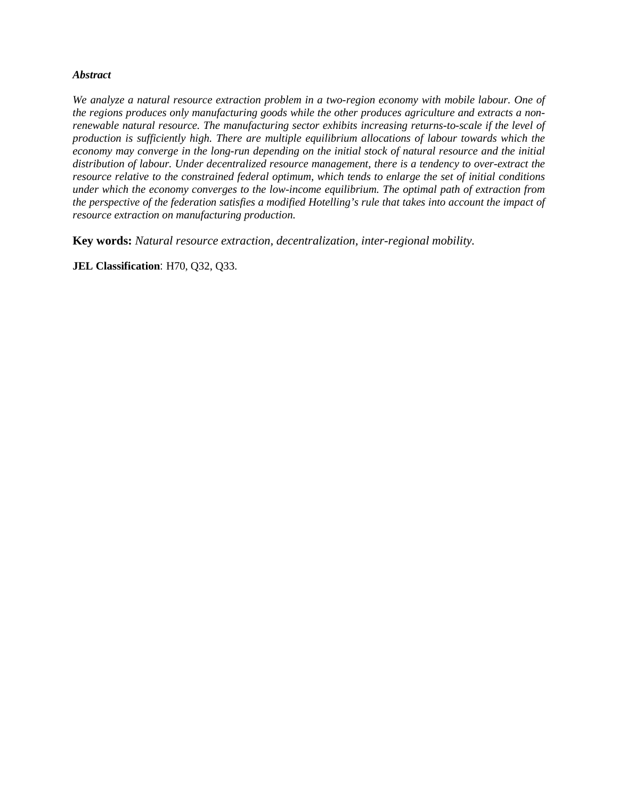# *Abstract*

*We analyze a natural resource extraction problem in a two-region economy with mobile labour. One of the regions produces only manufacturing goods while the other produces agriculture and extracts a nonrenewable natural resource. The manufacturing sector exhibits increasing returns-to-scale if the level of production is sufficiently high. There are multiple equilibrium allocations of labour towards which the economy may converge in the long-run depending on the initial stock of natural resource and the initial distribution of labour. Under decentralized resource management, there is a tendency to over-extract the resource relative to the constrained federal optimum, which tends to enlarge the set of initial conditions under which the economy converges to the low-income equilibrium. The optimal path of extraction from the perspective of the federation satisfies a modified Hotelling's rule that takes into account the impact of resource extraction on manufacturing production.*

**Key words:** *Natural resource extraction, decentralization, inter-regional mobility.*

**JEL Classification**: H70, Q32, Q33.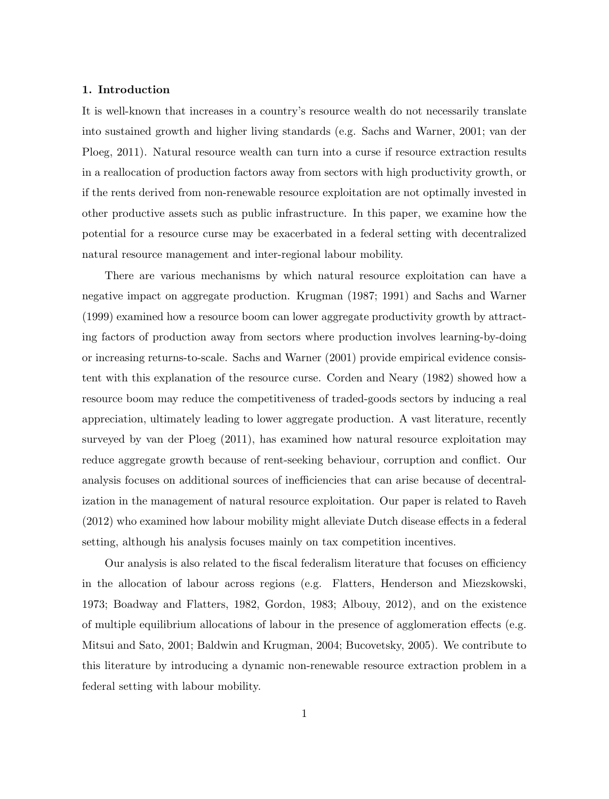## 1. Introduction

It is well-known that increases in a country's resource wealth do not necessarily translate into sustained growth and higher living standards (e.g. Sachs and Warner, 2001; van der Ploeg, 2011). Natural resource wealth can turn into a curse if resource extraction results in a reallocation of production factors away from sectors with high productivity growth, or if the rents derived from non-renewable resource exploitation are not optimally invested in other productive assets such as public infrastructure. In this paper, we examine how the potential for a resource curse may be exacerbated in a federal setting with decentralized natural resource management and inter-regional labour mobility.

There are various mechanisms by which natural resource exploitation can have a negative impact on aggregate production. Krugman (1987; 1991) and Sachs and Warner (1999) examined how a resource boom can lower aggregate productivity growth by attracting factors of production away from sectors where production involves learning-by-doing or increasing returns-to-scale. Sachs and Warner (2001) provide empirical evidence consistent with this explanation of the resource curse. Corden and Neary (1982) showed how a resource boom may reduce the competitiveness of traded-goods sectors by inducing a real appreciation, ultimately leading to lower aggregate production. A vast literature, recently surveyed by van der Ploeg (2011), has examined how natural resource exploitation may reduce aggregate growth because of rent-seeking behaviour, corruption and conflict. Our analysis focuses on additional sources of inefficiencies that can arise because of decentralization in the management of natural resource exploitation. Our paper is related to Raveh (2012) who examined how labour mobility might alleviate Dutch disease effects in a federal setting, although his analysis focuses mainly on tax competition incentives.

Our analysis is also related to the fiscal federalism literature that focuses on efficiency in the allocation of labour across regions (e.g. Flatters, Henderson and Miezskowski, 1973; Boadway and Flatters, 1982, Gordon, 1983; Albouy, 2012), and on the existence of multiple equilibrium allocations of labour in the presence of agglomeration effects (e.g. Mitsui and Sato, 2001; Baldwin and Krugman, 2004; Bucovetsky, 2005). We contribute to this literature by introducing a dynamic non-renewable resource extraction problem in a federal setting with labour mobility.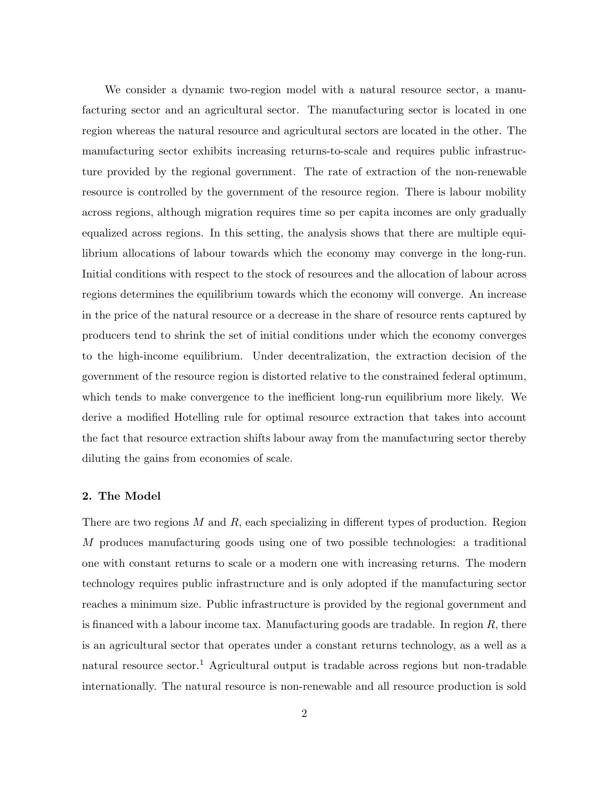We consider a dynamic two-region model with a natural resource sector, a manufacturing sector and an agricultural sector. The manufacturing sector is located in one region whereas the natural resource and agricultural sectors are located in the other. The manufacturing sector exhibits increasing returns-to-scale and requires public infrastructure provided by the regional government. The rate of extraction of the non-renewable resource is controlled by the government of the resource region. There is labour mobility across regions, although migration requires time so per capita incomes are only gradually equalized across regions. In this setting, the analysis shows that there are multiple equilibrium allocations of labour towards which the economy may converge in the long-run. Initial conditions with respect to the stock of resources and the allocation of labour across regions determines the equilibrium towards which the economy will converge. An increase in the price of the natural resource or a decrease in the share of resource rents captured by producers tend to shrink the set of initial conditions under which the economy converges to the high-income equilibrium. Under decentralization, the extraction decision of the government of the resource region is distorted relative to the constrained federal optimum, which tends to make convergence to the inefficient long-run equilibrium more likely. We derive a modified Hotelling rule for optimal resource extraction that takes into account the fact that resource extraction shifts labour away from the manufacturing sector thereby diluting the gains from economies of scale.

#### 2. The Model

There are two regions  $M$  and  $R$ , each specializing in different types of production. Region M produces manufacturing goods using one of two possible technologies: a traditional one with constant returns to scale or a modern one with increasing returns. The modern technology requires public infrastructure and is only adopted if the manufacturing sector reaches a minimum size. Public infrastructure is provided by the regional government and is financed with a labour income tax. Manufacturing goods are tradable. In region  $R$ , there is an agricultural sector that operates under a constant returns technology, as a well as a natural resource sector.<sup>1</sup> Agricultural output is tradable across regions but non-tradable internationally. The natural resource is non-renewable and all resource production is sold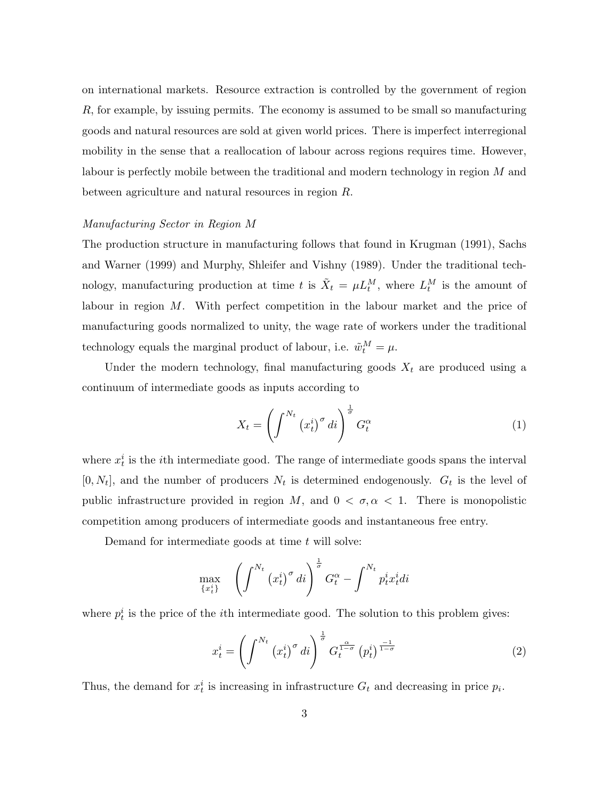on international markets. Resource extraction is controlled by the government of region R, for example, by issuing permits. The economy is assumed to be small so manufacturing goods and natural resources are sold at given world prices. There is imperfect interregional mobility in the sense that a reallocation of labour across regions requires time. However, labour is perfectly mobile between the traditional and modern technology in region M and between agriculture and natural resources in region R.

# Manufacturing Sector in Region M

The production structure in manufacturing follows that found in Krugman (1991), Sachs and Warner (1999) and Murphy, Shleifer and Vishny (1989). Under the traditional technology, manufacturing production at time t is  $\tilde{X}_t = \mu L_t^M$ , where  $L_t^M$  is the amount of labour in region M. With perfect competition in the labour market and the price of manufacturing goods normalized to unity, the wage rate of workers under the traditional technology equals the marginal product of labour, i.e.  $\tilde{w}_t^M = \mu$ .

Under the modern technology, final manufacturing goods  $X_t$  are produced using a continuum of intermediate goods as inputs according to

$$
X_t = \left(\int^{N_t} \left(x_t^i\right)^\sigma di\right)^\frac{1}{\sigma} G_t^\alpha \tag{1}
$$

where  $x_t^i$  is the *i*th intermediate good. The range of intermediate goods spans the interval  $[0, N_t]$ , and the number of producers  $N_t$  is determined endogenously.  $G_t$  is the level of public infrastructure provided in region M, and  $0 < \sigma, \alpha < 1$ . There is monopolistic competition among producers of intermediate goods and instantaneous free entry.

Demand for intermediate goods at time  $t$  will solve:

$$
\max_{\{x_t^i\}} \quad \left(\int^{N_t} \left(x_t^i\right)^\sigma di\right)^{\frac{1}{\sigma}} G_t^\alpha - \int^{N_t} p_t^i x_t^i di
$$

where  $p_t^i$  is the price of the *i*th intermediate good. The solution to this problem gives:

$$
x_t^i = \left(\int^{N_t} \left(x_t^i\right)^{\sigma} dt\right)^{\frac{1}{\sigma}} G_t^{\frac{\alpha}{1-\sigma}} \left(p_t^i\right)^{\frac{-1}{1-\sigma}} \tag{2}
$$

Thus, the demand for  $x_t^i$  is increasing in infrastructure  $G_t$  and decreasing in price  $p_i$ .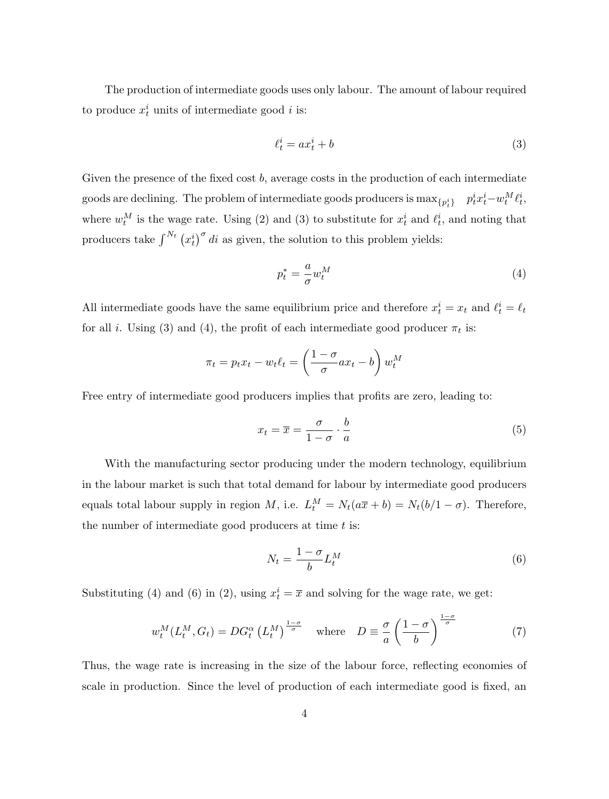The production of intermediate goods uses only labour. The amount of labour required to produce  $x_t^i$  units of intermediate good i is:

$$
\ell_t^i = ax_t^i + b \tag{3}
$$

Given the presence of the fixed cost  $b$ , average costs in the production of each intermediate goods are declining. The problem of intermediate goods producers is  $\max_{\{p^i_t\}} \quad p^i_t x^i_t - w^M_t \ell^i_t,$ where  $w_t^M$  is the wage rate. Using (2) and (3) to substitute for  $x_t^i$  and  $\ell_t^i$ , and noting that producers take  $\int_{0}^{N_t} (x_t^i)^\sigma dt$  as given, the solution to this problem yields:

$$
p_t^* = \frac{a}{\sigma} w_t^M \tag{4}
$$

All intermediate goods have the same equilibrium price and therefore  $x_t^i = x_t$  and  $\ell_t^i = \ell_t$ for all *i*. Using (3) and (4), the profit of each intermediate good producer  $\pi_t$  is:

$$
\pi_t = p_t x_t - w_t \ell_t = \left(\frac{1 - \sigma}{\sigma} a x_t - b\right) w_t^M
$$

Free entry of intermediate good producers implies that profits are zero, leading to:

$$
x_t = \overline{x} = \frac{\sigma}{1 - \sigma} \cdot \frac{b}{a} \tag{5}
$$

With the manufacturing sector producing under the modern technology, equilibrium in the labour market is such that total demand for labour by intermediate good producers equals total labour supply in region M, i.e.  $L_t^M = N_t(a\overline{x} + b) = N_t(b/1 - \sigma)$ . Therefore, the number of intermediate good producers at time  $t$  is:

$$
N_t = \frac{1 - \sigma}{b} L_t^M \tag{6}
$$

Substituting (4) and (6) in (2), using  $x_t^i = \overline{x}$  and solving for the wage rate, we get:

$$
w_t^M(L_t^M, G_t) = DG_t^{\alpha} (L_t^M)^{\frac{1-\sigma}{\sigma}} \quad \text{where} \quad D \equiv \frac{\sigma}{a} \left( \frac{1-\sigma}{b} \right)^{\frac{1-\sigma}{\sigma}} \tag{7}
$$

Thus, the wage rate is increasing in the size of the labour force, reflecting economies of scale in production. Since the level of production of each intermediate good is fixed, an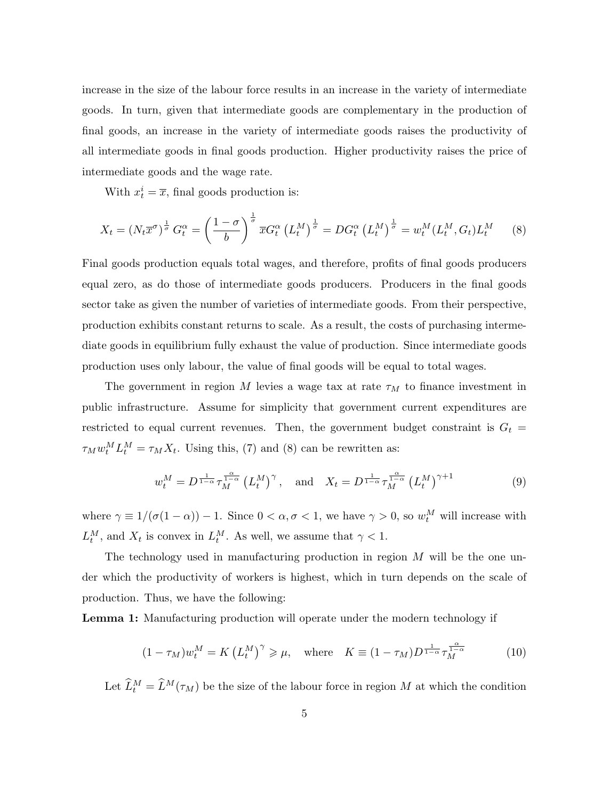increase in the size of the labour force results in an increase in the variety of intermediate goods. In turn, given that intermediate goods are complementary in the production of final goods, an increase in the variety of intermediate goods raises the productivity of all intermediate goods in final goods production. Higher productivity raises the price of intermediate goods and the wage rate.

With  $x_t^i = \overline{x}$ , final goods production is:

$$
X_t = \left(N_t \overline{x}^{\sigma}\right)^{\frac{1}{\sigma}} G_t^{\alpha} = \left(\frac{1-\sigma}{b}\right)^{\frac{1}{\sigma}} \overline{x} G_t^{\alpha} \left(L_t^M\right)^{\frac{1}{\sigma}} = DG_t^{\alpha} \left(L_t^M\right)^{\frac{1}{\sigma}} = w_t^M (L_t^M, G_t) L_t^M \tag{8}
$$

Final goods production equals total wages, and therefore, profits of final goods producers equal zero, as do those of intermediate goods producers. Producers in the final goods sector take as given the number of varieties of intermediate goods. From their perspective, production exhibits constant returns to scale. As a result, the costs of purchasing intermediate goods in equilibrium fully exhaust the value of production. Since intermediate goods production uses only labour, the value of final goods will be equal to total wages.

The government in region M levies a wage tax at rate  $\tau_M$  to finance investment in public infrastructure. Assume for simplicity that government current expenditures are restricted to equal current revenues. Then, the government budget constraint is  $G_t$  =  $\tau_M w_t^M L_t^M = \tau_M X_t$ . Using this, (7) and (8) can be rewritten as:

$$
w_t^M = D^{\frac{1}{1-\alpha}} \tau_M^{\frac{\alpha}{1-\alpha}} \left( L_t^M \right)^{\gamma}, \quad \text{and} \quad X_t = D^{\frac{1}{1-\alpha}} \tau_M^{\frac{\alpha}{1-\alpha}} \left( L_t^M \right)^{\gamma+1} \tag{9}
$$

where  $\gamma \equiv 1/(\sigma(1-\alpha)) - 1$ . Since  $0 < \alpha, \sigma < 1$ , we have  $\gamma > 0$ , so  $w_t^M$  will increase with  $L_t^M$ , and  $X_t$  is convex in  $L_t^M$ . As well, we assume that  $\gamma < 1$ .

The technology used in manufacturing production in region  $M$  will be the one under which the productivity of workers is highest, which in turn depends on the scale of production. Thus, we have the following:

Lemma 1: Manufacturing production will operate under the modern technology if

$$
(1 - \tau_M)w_t^M = K\left(L_t^M\right)^\gamma \ge \mu, \quad \text{where} \quad K \equiv (1 - \tau_M)D^{\frac{1}{1 - \alpha}}\tau_M^{\frac{\alpha}{1 - \alpha}} \tag{10}
$$

Let  $\widehat{L}_t^M = \widehat{L}^M(\tau_M)$  be the size of the labour force in region M at which the condition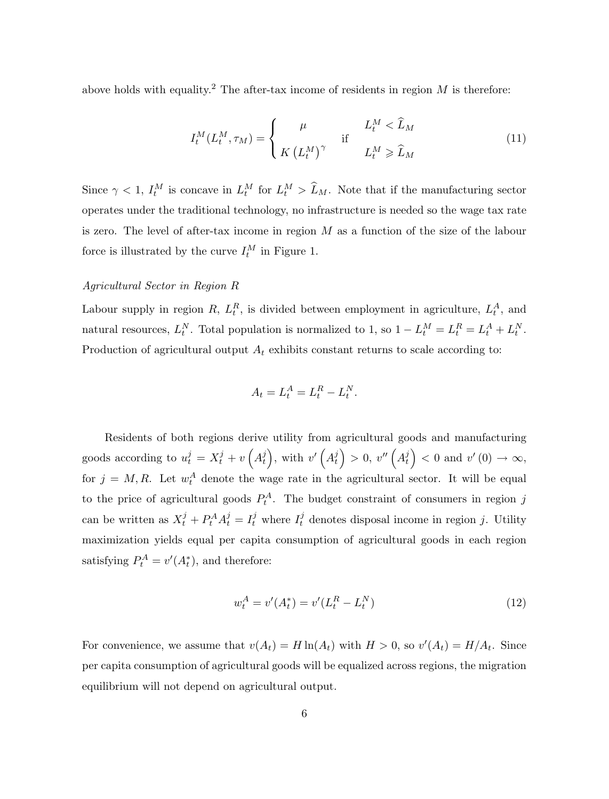above holds with equality.<sup>2</sup> The after-tax income of residents in region  $M$  is therefore:

$$
I_t^M(L_t^M, \tau_M) = \begin{cases} \mu & L_t^M < \widehat{L}_M \\ K (L_t^M)^\gamma & \text{if} \end{cases}
$$
 (11)

Since  $\gamma < 1$ ,  $I_t^M$  is concave in  $L_t^M$  for  $L_t^M > \tilde{L}_M$ . Note that if the manufacturing sector operates under the traditional technology, no infrastructure is needed so the wage tax rate is zero. The level of after-tax income in region M as a function of the size of the labour force is illustrated by the curve  $I_t^M$  in Figure 1.

## Agricultural Sector in Region R

Labour supply in region R,  $L_t^R$ , is divided between employment in agriculture,  $L_t^A$ , and natural resources,  $L_t^N$ . Total population is normalized to 1, so  $1 - L_t^M = L_t^R = L_t^A + L_t^N$ . Production of agricultural output  $A_t$  exhibits constant returns to scale according to:

$$
A_t = L_t^A = L_t^R - L_t^N.
$$

Residents of both regions derive utility from agricultural goods and manufacturing goods according to  $u_t^j = X_t^j + v\left(A_t^j\right)$  $\left(\begin{matrix}j\\t\end{matrix}\right)$ , with  $v'\left(A_t^j\right)$  $\left(\begin{smallmatrix}j\t\end{smallmatrix}\right) > 0, \ v''\left(A^j_t\right)$  $\begin{pmatrix} i \\ t \end{pmatrix}$  < 0 and  $v'(0) \rightarrow \infty$ , for  $j = M, R$ . Let  $w_t^A$  denote the wage rate in the agricultural sector. It will be equal to the price of agricultural goods  $P_t^A$ . The budget constraint of consumers in region j can be written as  $X_t^j + P_t^A A_t^j = I_t^j$  where  $I_t^j$  $t_t^j$  denotes disposal income in region j. Utility maximization yields equal per capita consumption of agricultural goods in each region satisfying  $P_t^A = v'(A_t^*)$ , and therefore:

$$
w_t^A = v'(A_t^*) = v'(L_t^R - L_t^N)
$$
\n(12)

For convenience, we assume that  $v(A_t) = H \ln(A_t)$  with  $H > 0$ , so  $v'(A_t) = H/A_t$ . Since per capita consumption of agricultural goods will be equalized across regions, the migration equilibrium will not depend on agricultural output.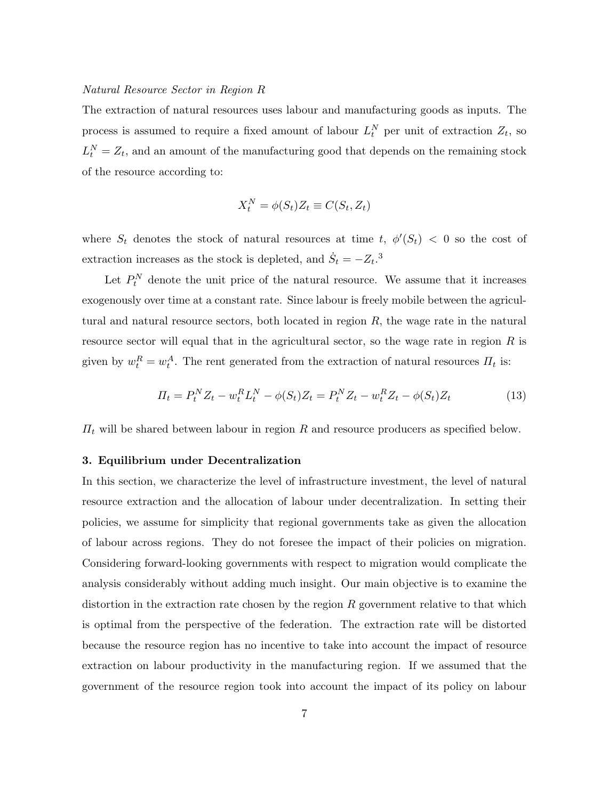#### Natural Resource Sector in Region R

The extraction of natural resources uses labour and manufacturing goods as inputs. The process is assumed to require a fixed amount of labour  $L_t^N$  per unit of extraction  $Z_t$ , so  $L_t^N = Z_t$ , and an amount of the manufacturing good that depends on the remaining stock of the resource according to:

$$
X_t^N = \phi(S_t) Z_t \equiv C(S_t, Z_t)
$$

where  $S_t$  denotes the stock of natural resources at time t,  $\phi'(S_t) < 0$  so the cost of extraction increases as the stock is depleted, and  $\dot{S}_t = -Z_t$ <sup>3</sup>.

Let  $P_t^N$  denote the unit price of the natural resource. We assume that it increases exogenously over time at a constant rate. Since labour is freely mobile between the agricultural and natural resource sectors, both located in region  $R$ , the wage rate in the natural resource sector will equal that in the agricultural sector, so the wage rate in region R is given by  $w_t^R = w_t^A$ . The rent generated from the extraction of natural resources  $\Pi_t$  is:

$$
\Pi_t = P_t^N Z_t - w_t^R L_t^N - \phi(S_t) Z_t = P_t^N Z_t - w_t^R Z_t - \phi(S_t) Z_t \tag{13}
$$

 $\Pi_t$  will be shared between labour in region R and resource producers as specified below.

#### 3. Equilibrium under Decentralization

In this section, we characterize the level of infrastructure investment, the level of natural resource extraction and the allocation of labour under decentralization. In setting their policies, we assume for simplicity that regional governments take as given the allocation of labour across regions. They do not foresee the impact of their policies on migration. Considering forward-looking governments with respect to migration would complicate the analysis considerably without adding much insight. Our main objective is to examine the distortion in the extraction rate chosen by the region  $R$  government relative to that which is optimal from the perspective of the federation. The extraction rate will be distorted because the resource region has no incentive to take into account the impact of resource extraction on labour productivity in the manufacturing region. If we assumed that the government of the resource region took into account the impact of its policy on labour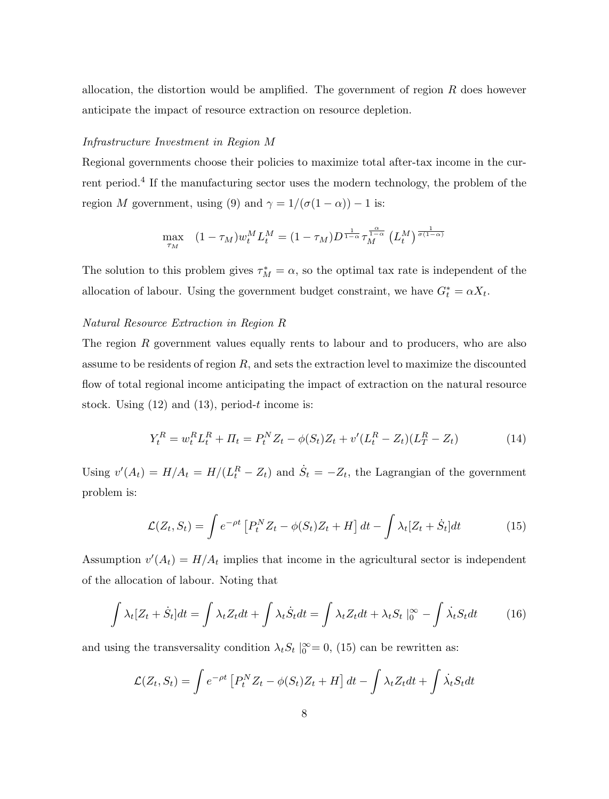allocation, the distortion would be amplified. The government of region  $R$  does however anticipate the impact of resource extraction on resource depletion.

# Infrastructure Investment in Region M

Regional governments choose their policies to maximize total after-tax income in the current period.<sup>4</sup> If the manufacturing sector uses the modern technology, the problem of the region M government, using (9) and  $\gamma = 1/(\sigma(1-\alpha)) - 1$  is:

$$
\max_{\tau_M} \quad (1 - \tau_M) w_t^M L_t^M = (1 - \tau_M) D^{\frac{1}{1 - \alpha}} \tau_M^{\frac{\alpha}{1 - \alpha}} \left( L_t^M \right)^{\frac{1}{\sigma (1 - \alpha)}}
$$

The solution to this problem gives  $\tau_M^* = \alpha$ , so the optimal tax rate is independent of the allocation of labour. Using the government budget constraint, we have  $G_t^* = \alpha X_t$ .

# Natural Resource Extraction in Region R

The region R government values equally rents to labour and to producers, who are also assume to be residents of region  $R$ , and sets the extraction level to maximize the discounted flow of total regional income anticipating the impact of extraction on the natural resource stock. Using  $(12)$  and  $(13)$ , period-t income is:

$$
Y_t^R = w_t^R L_t^R + \Pi_t = P_t^N Z_t - \phi(S_t) Z_t + v'(L_t^R - Z_t)(L_T^R - Z_t)
$$
\n(14)

Using  $v'(A_t) = H/A_t = H/(L_t^R - Z_t)$  and  $\dot{S}_t = -Z_t$ , the Lagrangian of the government problem is:

$$
\mathcal{L}(Z_t, S_t) = \int e^{-\rho t} \left[ P_t^N Z_t - \phi(S_t) Z_t + H \right] dt - \int \lambda_t [Z_t + \dot{S}_t] dt \tag{15}
$$

Assumption  $v'(A_t) = H/A_t$  implies that income in the agricultural sector is independent of the allocation of labour. Noting that

$$
\int \lambda_t [Z_t + \dot{S}_t] dt = \int \lambda_t Z_t dt + \int \lambda_t \dot{S}_t dt = \int \lambda_t Z_t dt + \lambda_t S_t \mid_0^\infty - \int \dot{\lambda}_t S_t dt \tag{16}
$$

and using the transversality condition  $\lambda_t S_t |_{0}^{\infty} = 0$ , (15) can be rewritten as:

$$
\mathcal{L}(Z_t, S_t) = \int e^{-\rho t} \left[ P_t^N Z_t - \phi(S_t) Z_t + H \right] dt - \int \lambda_t Z_t dt + \int \dot{\lambda}_t S_t dt
$$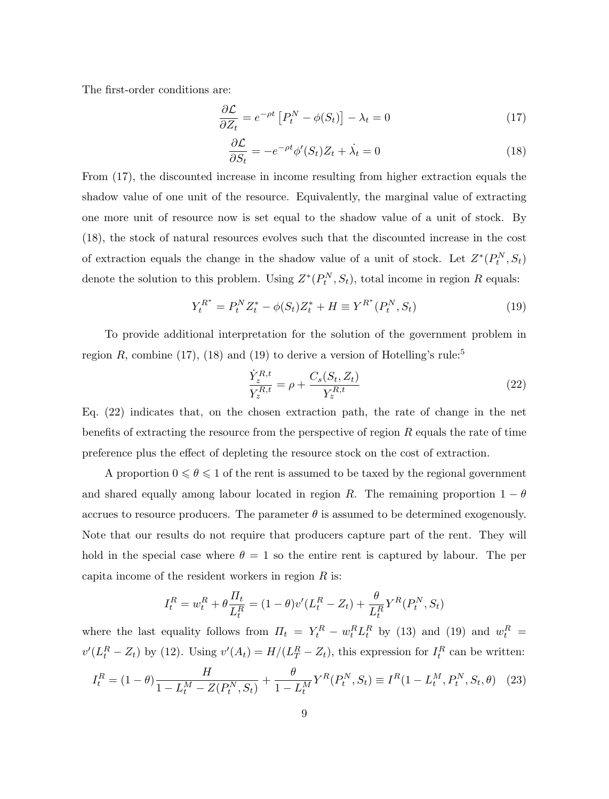The first-order conditions are:

$$
\frac{\partial \mathcal{L}}{\partial Z_t} = e^{-\rho t} \left[ P_t^N - \phi(S_t) \right] - \lambda_t = 0 \tag{17}
$$

$$
\frac{\partial \mathcal{L}}{\partial S_t} = -e^{-\rho t} \phi'(S_t) Z_t + \dot{\lambda}_t = 0 \tag{18}
$$

From (17), the discounted increase in income resulting from higher extraction equals the shadow value of one unit of the resource. Equivalently, the marginal value of extracting one more unit of resource now is set equal to the shadow value of a unit of stock. By (18), the stock of natural resources evolves such that the discounted increase in the cost of extraction equals the change in the shadow value of a unit of stock. Let  $Z^*(P_t^N, S_t)$ denote the solution to this problem. Using  $Z^*(P_t^N, S_t)$ , total income in region R equals:

$$
Y_t^{R^*} = P_t^N Z_t^* - \phi(S_t) Z_t^* + H \equiv Y^{R^*} (P_t^N, S_t)
$$
\n(19)

To provide additional interpretation for the solution of the government problem in region R, combine (17), (18) and (19) to derive a version of Hotelling's rule:<sup>5</sup>

$$
\frac{\dot{Y}_z^{R,t}}{Y_z^{R,t}} = \rho + \frac{C_s(S_t, Z_t)}{Y_z^{R,t}}
$$
\n(22)

Eq. (22) indicates that, on the chosen extraction path, the rate of change in the net benefits of extracting the resource from the perspective of region R equals the rate of time preference plus the effect of depleting the resource stock on the cost of extraction.

A proportion  $0\leqslant \theta \leqslant 1$  of the rent is assumed to be taxed by the regional government and shared equally among labour located in region R. The remaining proportion  $1 - \theta$ accrues to resource producers. The parameter  $\theta$  is assumed to be determined exogenously. Note that our results do not require that producers capture part of the rent. They will hold in the special case where  $\theta = 1$  so the entire rent is captured by labour. The per capita income of the resident workers in region  $R$  is:

$$
I_t^R = w_t^R + \theta \frac{\Pi_t}{L_t^R} = (1 - \theta)v'(L_t^R - Z_t) + \frac{\theta}{L_t^R} Y^R(P_t^N, S_t)
$$

where the last equality follows from  $\Pi_t = Y_t^R - w_t^R L_t^R$  by (13) and (19) and  $w_t^R =$  $v'(L_t^R - Z_t)$  by (12). Using  $v'(A_t) = H/(L_T^R - Z_t)$ , this expression for  $I_t^R$  can be written:

$$
I_t^R = (1 - \theta) \frac{H}{1 - L_t^M - Z(P_t^N, S_t)} + \frac{\theta}{1 - L_t^M} Y^R(P_t^N, S_t) \equiv I^R(1 - L_t^M, P_t^N, S_t, \theta) \tag{23}
$$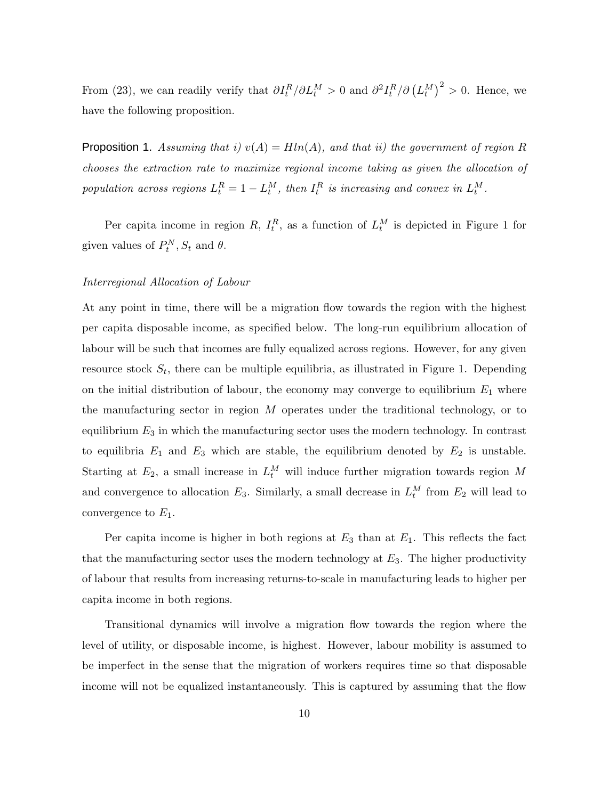From (23), we can readily verify that  $\partial I_t^R / \partial L_t^M > 0$  and  $\partial^2 I_t^R / \partial (L_t^M)^2 > 0$ . Hence, we have the following proposition.

**Proposition 1.** Assuming that i)  $v(A) = H\ln(A)$ , and that ii) the government of region R chooses the extraction rate to maximize regional income taking as given the allocation of population across regions  $L_t^R = 1 - L_t^M$ , then  $I_t^R$  is increasing and convex in  $L_t^M$ .

Per capita income in region R,  $I_t^R$ , as a function of  $L_t^M$  is depicted in Figure 1 for given values of  $P_t^N$ ,  $S_t$  and  $\theta$ .

## Interregional Allocation of Labour

At any point in time, there will be a migration flow towards the region with the highest per capita disposable income, as specified below. The long-run equilibrium allocation of labour will be such that incomes are fully equalized across regions. However, for any given resource stock  $S_t$ , there can be multiple equilibria, as illustrated in Figure 1. Depending on the initial distribution of labour, the economy may converge to equilibrium  $E_1$  where the manufacturing sector in region M operates under the traditional technology, or to equilibrium  $E_3$  in which the manufacturing sector uses the modern technology. In contrast to equilibria  $E_1$  and  $E_3$  which are stable, the equilibrium denoted by  $E_2$  is unstable. Starting at  $E_2$ , a small increase in  $L_t^M$  will induce further migration towards region M and convergence to allocation  $E_3$ . Similarly, a small decrease in  $L_t^M$  from  $E_2$  will lead to convergence to  $E_1$ .

Per capita income is higher in both regions at  $E_3$  than at  $E_1$ . This reflects the fact that the manufacturing sector uses the modern technology at  $E_3$ . The higher productivity of labour that results from increasing returns-to-scale in manufacturing leads to higher per capita income in both regions.

Transitional dynamics will involve a migration flow towards the region where the level of utility, or disposable income, is highest. However, labour mobility is assumed to be imperfect in the sense that the migration of workers requires time so that disposable income will not be equalized instantaneously. This is captured by assuming that the flow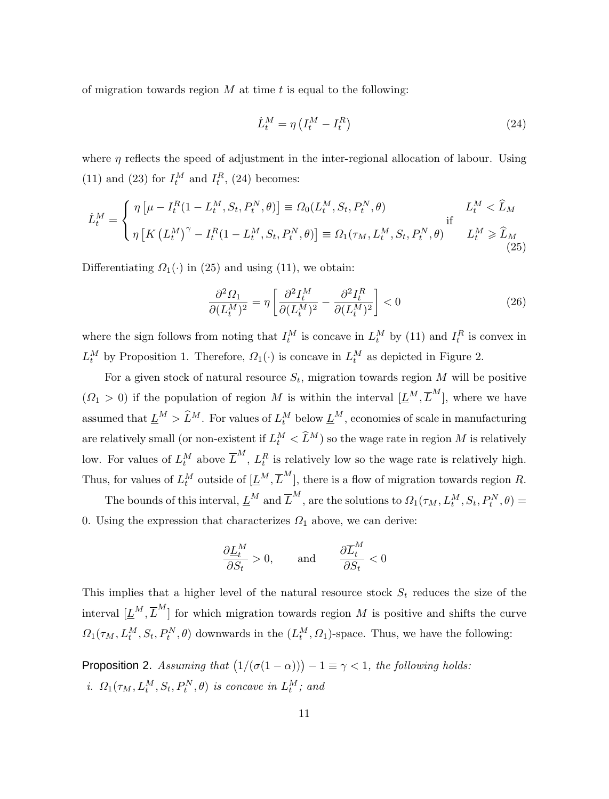of migration towards region  $M$  at time  $t$  is equal to the following:

$$
\dot{L}_t^M = \eta \left( I_t^M - I_t^R \right) \tag{24}
$$

where  $\eta$  reflects the speed of adjustment in the inter-regional allocation of labour. Using (11) and (23) for  $I_t^M$  and  $I_t^R$ , (24) becomes:

$$
\dot{L}_t^M = \begin{cases}\n\eta \left[ \mu - I_t^R (1 - L_t^M, S_t, P_t^N, \theta) \right] \equiv \Omega_0(L_t^M, S_t, P_t^N, \theta) & L_t^M < \hat{L}_M \\
\eta \left[ K \left( L_t^M \right)^\gamma - I_t^R (1 - L_t^M, S_t, P_t^N, \theta) \right] \equiv \Omega_1(\tau_M, L_t^M, S_t, P_t^N, \theta) & L_t^M \ge \hat{L}_M\n\end{cases}
$$
\n(25)

Differentiating  $\Omega_1(\cdot)$  in (25) and using (11), we obtain:

$$
\frac{\partial^2 \Omega_1}{\partial (L_t^M)^2} = \eta \left[ \frac{\partial^2 I_t^M}{\partial (L_t^M)^2} - \frac{\partial^2 I_t^R}{\partial (L_t^M)^2} \right] < 0 \tag{26}
$$

where the sign follows from noting that  $I_t^M$  is concave in  $L_t^M$  by (11) and  $I_t^R$  is convex in  $L_t^M$  by Proposition 1. Therefore,  $\Omega_1(\cdot)$  is concave in  $L_t^M$  as depicted in Figure 2.

For a given stock of natural resource  $S_t$ , migration towards region M will be positive  $(\Omega_1 > 0)$  if the population of region M is within the interval  $[\underline{L}^M, \overline{L}^M]$ , where we have assumed that  $\underline{L}^M > \widehat{L}^M$ . For values of  $L_t^M$  below  $\underline{L}^M$ , economies of scale in manufacturing are relatively small (or non-existent if  $L_t^M < \tilde{L}^M$ ) so the wage rate in region M is relatively low. For values of  $L_t^M$  above  $\overline{L}^M$ ,  $L_t^R$  is relatively low so the wage rate is relatively high. Thus, for values of  $L_t^M$  outside of  $[\underline{L}^M, \overline{L}^M]$ , there is a flow of migration towards region R.

The bounds of this interval,  $\underline{L}^M$  and  $\overline{L}^M$ , are the solutions to  $\varOmega_1(\tau_M,L_t^M,S_t,P_t^N,\theta)=$ 0. Using the expression that characterizes  $\Omega_1$  above, we can derive:

$$
\frac{\partial \underline{L}_t^M}{\partial S_t} > 0, \quad \text{and} \quad \frac{\partial \overline{L}_t^M}{\partial S_t} < 0
$$

This implies that a higher level of the natural resource stock  $S_t$  reduces the size of the interval  $[\underline{L}^M, \overline{L}^M]$  for which migration towards region M is positive and shifts the curve  $\Omega_1(\tau_M, L_t^M, S_t, P_t^N, \theta)$  downwards in the  $(L_t^M, \Omega_1)$ -space. Thus, we have the following:

**Proposition 2.** Assuming that  $(1/(\sigma(1 - \alpha))) - 1 \equiv \gamma < 1$ , the following holds: i.  $\Omega_1(\tau_M, L_t^M, S_t, P_t^N, \theta)$  is concave in  $L_t^M$ ; and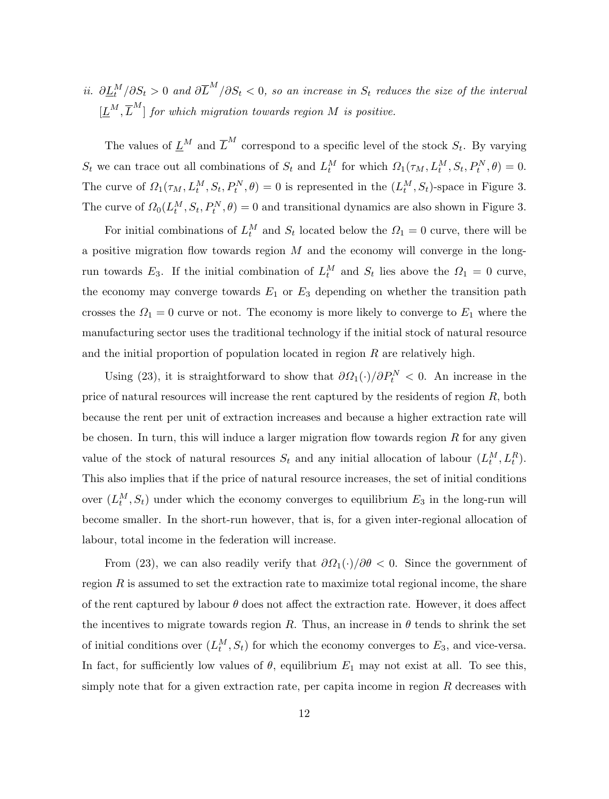ii.  $\partial \underline{L}_t^M/\partial S_t > 0$  and  $\partial \overline{L}^M/\partial S_t < 0$ , so an increase in  $S_t$  reduces the size of the interval  $[\underline{L}^M, \overline{L}^M]$  for which migration towards region M is positive.

The values of  $\underline{L}^M$  and  $\overline{L}^M$  correspond to a specific level of the stock  $S_t$ . By varying  $S_t$  we can trace out all combinations of  $S_t$  and  $L_t^M$  for which  $\Omega_1(\tau_M, L_t^M, S_t, P_t^N, \theta) = 0$ . The curve of  $\Omega_1(\tau_M, L_t^M, S_t, P_t^N, \theta) = 0$  is represented in the  $(L_t^M, S_t)$ -space in Figure 3. The curve of  $\Omega_0(L_t^M, S_t, P_t^N, \theta) = 0$  and transitional dynamics are also shown in Figure 3.

For initial combinations of  $L_t^M$  and  $S_t$  located below the  $\Omega_1 = 0$  curve, there will be a positive migration flow towards region  $M$  and the economy will converge in the longrun towards  $E_3$ . If the initial combination of  $L_t^M$  and  $S_t$  lies above the  $\Omega_1 = 0$  curve, the economy may converge towards  $E_1$  or  $E_3$  depending on whether the transition path crosses the  $\Omega_1 = 0$  curve or not. The economy is more likely to converge to  $E_1$  where the manufacturing sector uses the traditional technology if the initial stock of natural resource and the initial proportion of population located in region  $R$  are relatively high.

Using (23), it is straightforward to show that  $\partial \Omega_1(\cdot)/\partial P_t^N < 0$ . An increase in the price of natural resources will increase the rent captured by the residents of region R, both because the rent per unit of extraction increases and because a higher extraction rate will be chosen. In turn, this will induce a larger migration flow towards region  $R$  for any given value of the stock of natural resources  $S_t$  and any initial allocation of labour  $(L_t^M, L_t^R)$ . This also implies that if the price of natural resource increases, the set of initial conditions over  $(L_t^M, S_t)$  under which the economy converges to equilibrium  $E_3$  in the long-run will become smaller. In the short-run however, that is, for a given inter-regional allocation of labour, total income in the federation will increase.

From (23), we can also readily verify that  $\partial \Omega_1(\cdot)/\partial \theta < 0$ . Since the government of region  $R$  is assumed to set the extraction rate to maximize total regional income, the share of the rent captured by labour  $\theta$  does not affect the extraction rate. However, it does affect the incentives to migrate towards region R. Thus, an increase in  $\theta$  tends to shrink the set of initial conditions over  $(L_t^M, S_t)$  for which the economy converges to  $E_3$ , and vice-versa. In fact, for sufficiently low values of  $\theta$ , equilibrium  $E_1$  may not exist at all. To see this, simply note that for a given extraction rate, per capita income in region R decreases with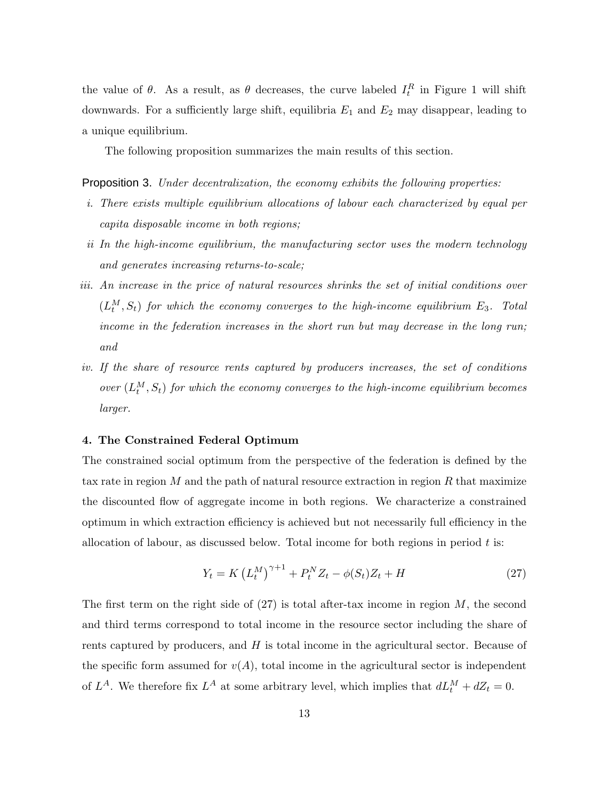the value of  $\theta$ . As a result, as  $\theta$  decreases, the curve labeled  $I_t^R$  in Figure 1 will shift downwards. For a sufficiently large shift, equilibria  $E_1$  and  $E_2$  may disappear, leading to a unique equilibrium.

The following proposition summarizes the main results of this section.

Proposition 3. Under decentralization, the economy exhibits the following properties:

- i. There exists multiple equilibrium allocations of labour each characterized by equal per capita disposable income in both regions;
- ii In the high-income equilibrium, the manufacturing sector uses the modern technology and generates increasing returns-to-scale;
- iii. An increase in the price of natural resources shrinks the set of initial conditions over  $(L_t^M, S_t)$  for which the economy converges to the high-income equilibrium  $E_3$ . Total income in the federation increases in the short run but may decrease in the long run; and
- iv. If the share of resource rents captured by producers increases, the set of conditions over  $(L_t^M, S_t)$  for which the economy converges to the high-income equilibrium becomes larger.

#### 4. The Constrained Federal Optimum

The constrained social optimum from the perspective of the federation is defined by the tax rate in region  $M$  and the path of natural resource extraction in region  $R$  that maximize the discounted flow of aggregate income in both regions. We characterize a constrained optimum in which extraction efficiency is achieved but not necessarily full efficiency in the allocation of labour, as discussed below. Total income for both regions in period  $t$  is:

$$
Y_t = K \left( L_t^M \right)^{\gamma + 1} + P_t^N Z_t - \phi(S_t) Z_t + H \tag{27}
$$

The first term on the right side of  $(27)$  is total after-tax income in region M, the second and third terms correspond to total income in the resource sector including the share of rents captured by producers, and  $H$  is total income in the agricultural sector. Because of the specific form assumed for  $v(A)$ , total income in the agricultural sector is independent of  $L^A$ . We therefore fix  $L^A$  at some arbitrary level, which implies that  $dL_t^M + dZ_t = 0$ .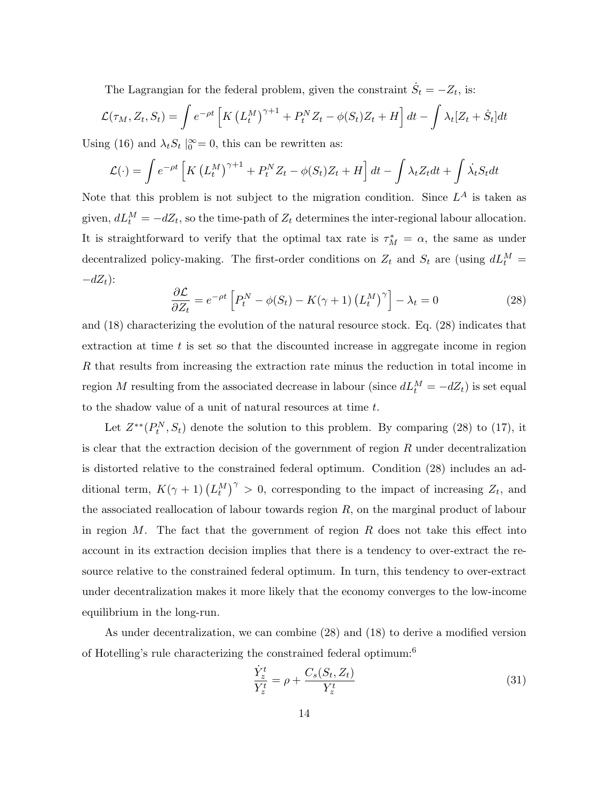The Lagrangian for the federal problem, given the constraint  $\dot{S}_t = -Z_t$ , is:

$$
\mathcal{L}(\tau_M, Z_t, S_t) = \int e^{-\rho t} \left[ K \left( L_t^M \right)^{\gamma+1} + P_t^N Z_t - \phi(S_t) Z_t + H \right] dt - \int \lambda_t [Z_t + \dot{S}_t] dt
$$

Using (16) and  $\lambda_t S_t |_{0}^{\infty} = 0$ , this can be rewritten as:

$$
\mathcal{L}(\cdot) = \int e^{-\rho t} \left[ K \left( L_t^M \right)^{\gamma+1} + P_t^N Z_t - \phi(S_t) Z_t + H \right] dt - \int \lambda_t Z_t dt + \int \lambda_t S_t dt
$$

Note that this problem is not subject to the migration condition. Since  $L^A$  is taken as given,  $dL_t^M = -dZ_t$ , so the time-path of  $Z_t$  determines the inter-regional labour allocation. It is straightforward to verify that the optimal tax rate is  $\tau_M^* = \alpha$ , the same as under decentralized policy-making. The first-order conditions on  $Z_t$  and  $S_t$  are (using  $dL_t^M$  =  $-dZ_t$ ):

$$
\frac{\partial \mathcal{L}}{\partial Z_t} = e^{-\rho t} \left[ P_t^N - \phi(S_t) - K(\gamma + 1) \left( L_t^M \right)^\gamma \right] - \lambda_t = 0 \tag{28}
$$

and (18) characterizing the evolution of the natural resource stock. Eq. (28) indicates that extraction at time  $t$  is set so that the discounted increase in aggregate income in region R that results from increasing the extraction rate minus the reduction in total income in region M resulting from the associated decrease in labour (since  $dL_t^M = -dZ_t$ ) is set equal to the shadow value of a unit of natural resources at time t.

Let  $Z^{**}(P_t^N, S_t)$  denote the solution to this problem. By comparing (28) to (17), it is clear that the extraction decision of the government of region  $R$  under decentralization is distorted relative to the constrained federal optimum. Condition (28) includes an additional term,  $K(\gamma + 1) (L_t^M)^{\gamma} > 0$ , corresponding to the impact of increasing  $Z_t$ , and the associated reallocation of labour towards region  $R$ , on the marginal product of labour in region  $M$ . The fact that the government of region  $R$  does not take this effect into account in its extraction decision implies that there is a tendency to over-extract the resource relative to the constrained federal optimum. In turn, this tendency to over-extract under decentralization makes it more likely that the economy converges to the low-income equilibrium in the long-run.

As under decentralization, we can combine (28) and (18) to derive a modified version of Hotelling's rule characterizing the constrained federal optimum:<sup>6</sup>

$$
\frac{\dot{Y}_z^t}{Y_z^t} = \rho + \frac{C_s(S_t, Z_t)}{Y_z^t}
$$
\n(31)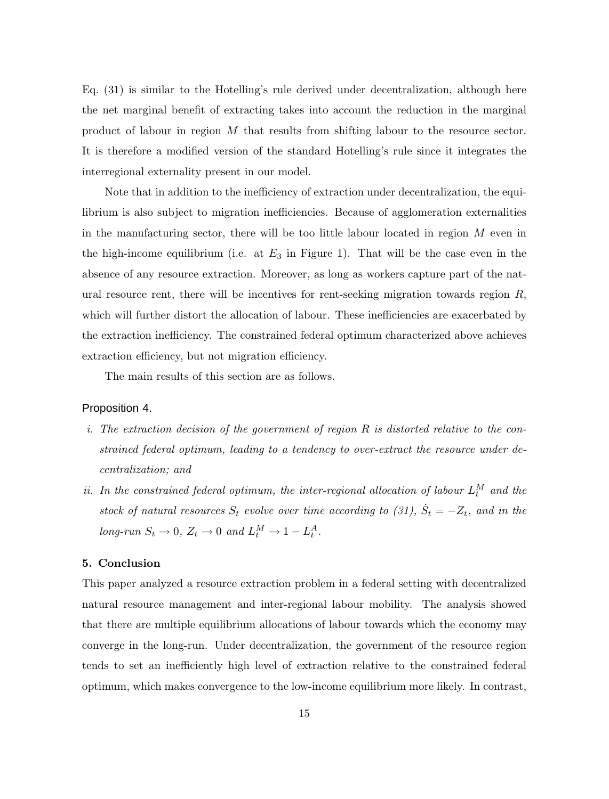Eq. (31) is similar to the Hotelling's rule derived under decentralization, although here the net marginal benefit of extracting takes into account the reduction in the marginal product of labour in region M that results from shifting labour to the resource sector. It is therefore a modified version of the standard Hotelling's rule since it integrates the interregional externality present in our model.

Note that in addition to the inefficiency of extraction under decentralization, the equilibrium is also subject to migration inefficiencies. Because of agglomeration externalities in the manufacturing sector, there will be too little labour located in region  $M$  even in the high-income equilibrium (i.e. at  $E_3$  in Figure 1). That will be the case even in the absence of any resource extraction. Moreover, as long as workers capture part of the natural resource rent, there will be incentives for rent-seeking migration towards region  $R$ , which will further distort the allocation of labour. These inefficiencies are exacerbated by the extraction inefficiency. The constrained federal optimum characterized above achieves extraction efficiency, but not migration efficiency.

The main results of this section are as follows.

# Proposition 4.

- i. The extraction decision of the government of region  $R$  is distorted relative to the constrained federal optimum, leading to a tendency to over-extract the resource under decentralization; and
- ii. In the constrained federal optimum, the inter-regional allocation of labour  $L_t^M$  and the stock of natural resources  $S_t$  evolve over time according to (31),  $\dot{S}_t = -Z_t$ , and in the long-run  $S_t \to 0$ ,  $Z_t \to 0$  and  $L_t^M \to 1 - L_t^A$ .

# 5. Conclusion

This paper analyzed a resource extraction problem in a federal setting with decentralized natural resource management and inter-regional labour mobility. The analysis showed that there are multiple equilibrium allocations of labour towards which the economy may converge in the long-run. Under decentralization, the government of the resource region tends to set an inefficiently high level of extraction relative to the constrained federal optimum, which makes convergence to the low-income equilibrium more likely. In contrast,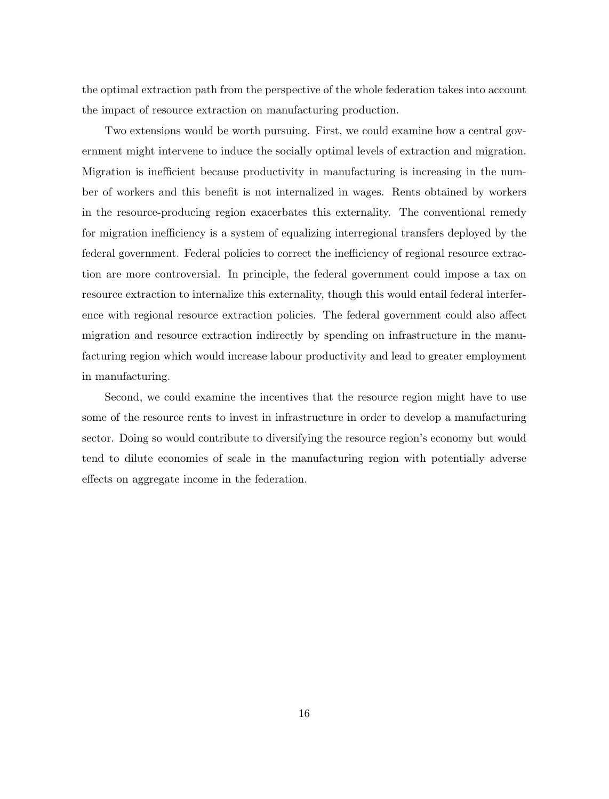the optimal extraction path from the perspective of the whole federation takes into account the impact of resource extraction on manufacturing production.

Two extensions would be worth pursuing. First, we could examine how a central government might intervene to induce the socially optimal levels of extraction and migration. Migration is inefficient because productivity in manufacturing is increasing in the number of workers and this benefit is not internalized in wages. Rents obtained by workers in the resource-producing region exacerbates this externality. The conventional remedy for migration inefficiency is a system of equalizing interregional transfers deployed by the federal government. Federal policies to correct the inefficiency of regional resource extraction are more controversial. In principle, the federal government could impose a tax on resource extraction to internalize this externality, though this would entail federal interference with regional resource extraction policies. The federal government could also affect migration and resource extraction indirectly by spending on infrastructure in the manufacturing region which would increase labour productivity and lead to greater employment in manufacturing.

Second, we could examine the incentives that the resource region might have to use some of the resource rents to invest in infrastructure in order to develop a manufacturing sector. Doing so would contribute to diversifying the resource region's economy but would tend to dilute economies of scale in the manufacturing region with potentially adverse effects on aggregate income in the federation.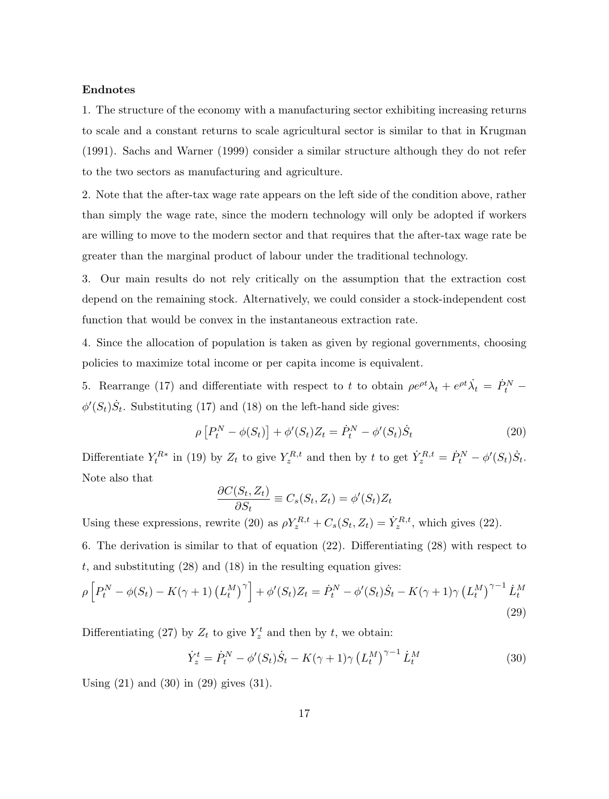#### Endnotes

1. The structure of the economy with a manufacturing sector exhibiting increasing returns to scale and a constant returns to scale agricultural sector is similar to that in Krugman (1991). Sachs and Warner (1999) consider a similar structure although they do not refer to the two sectors as manufacturing and agriculture.

2. Note that the after-tax wage rate appears on the left side of the condition above, rather than simply the wage rate, since the modern technology will only be adopted if workers are willing to move to the modern sector and that requires that the after-tax wage rate be greater than the marginal product of labour under the traditional technology.

3. Our main results do not rely critically on the assumption that the extraction cost depend on the remaining stock. Alternatively, we could consider a stock-independent cost function that would be convex in the instantaneous extraction rate.

4. Since the allocation of population is taken as given by regional governments, choosing policies to maximize total income or per capita income is equivalent.

5. Rearrange (17) and differentiate with respect to t to obtain  $\rho e^{\rho t} \lambda_t + e^{\rho t} \dot{\lambda}_t = \dot{P}_t^N$  $\phi'(S_t)\dot{S}_t$ . Substituting (17) and (18) on the left-hand side gives:

$$
\rho [P_t^N - \phi(S_t)] + \phi'(S_t) Z_t = \dot{P}_t^N - \phi'(S_t) \dot{S}_t
$$
\n(20)

Differentiate  $Y_t^{R*}$  in (19) by  $Z_t$  to give  $Y_z^{R,t}$  and then by t to get  $\dot{Y}_z^{R,t} = \dot{P}_t^N - \phi'(S_t)\dot{S}_t$ . Note also that

$$
\frac{\partial C(S_t, Z_t)}{\partial S_t} \equiv C_s(S_t, Z_t) = \phi'(S_t) Z_t
$$

Using these expressions, rewrite (20) as  $\rho Y_z^{R,t} + C_s(S_t, Z_t) = \dot{Y}_z^{R,t}$ , which gives (22).

6. The derivation is similar to that of equation (22). Differentiating (28) with respect to t, and substituting  $(28)$  and  $(18)$  in the resulting equation gives:

$$
\rho \left[ P_t^N - \phi(S_t) - K(\gamma + 1) \left( L_t^M \right)^\gamma \right] + \phi'(S_t) Z_t = \dot{P}_t^N - \phi'(S_t) \dot{S}_t - K(\gamma + 1) \gamma \left( L_t^M \right)^{\gamma - 1} \dot{L}_t^M
$$
\n(29)

Differentiating (27) by  $Z_t$  to give  $Y_z^t$  and then by t, we obtain:

$$
\dot{Y}_z^t = \dot{P}_t^N - \phi'(S_t)\dot{S}_t - K(\gamma + 1)\gamma \left(L_t^M\right)^{\gamma - 1} \dot{L}_t^M \tag{30}
$$

Using (21) and (30) in (29) gives (31).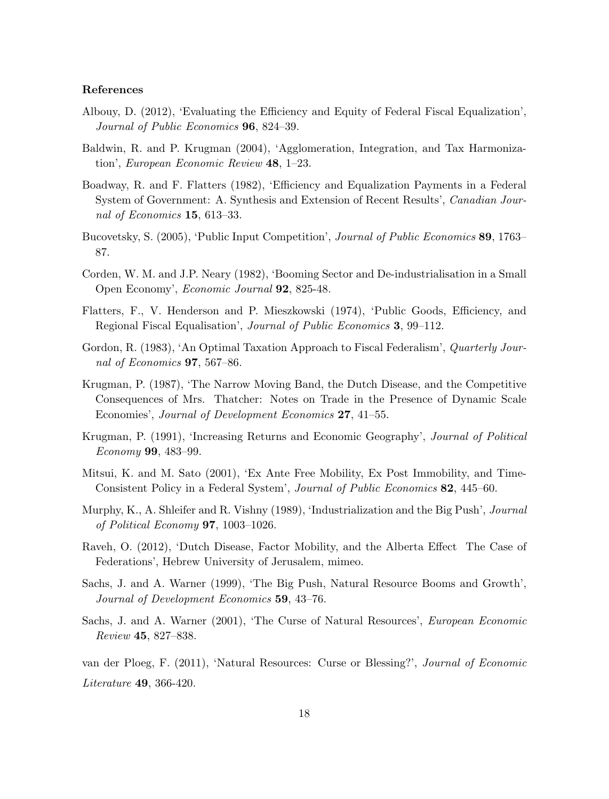## References

- Albouy, D. (2012), 'Evaluating the Efficiency and Equity of Federal Fiscal Equalization', Journal of Public Economics 96, 824–39.
- Baldwin, R. and P. Krugman (2004), 'Agglomeration, Integration, and Tax Harmonization', European Economic Review 48, 1–23.
- Boadway, R. and F. Flatters (1982), 'Efficiency and Equalization Payments in a Federal System of Government: A. Synthesis and Extension of Recent Results', Canadian Journal of Economics 15, 613–33.
- Bucovetsky, S. (2005), 'Public Input Competition', Journal of Public Economics 89, 1763– 87.
- Corden, W. M. and J.P. Neary (1982), 'Booming Sector and De-industrialisation in a Small Open Economy', Economic Journal 92, 825-48.
- Flatters, F., V. Henderson and P. Mieszkowski (1974), 'Public Goods, Efficiency, and Regional Fiscal Equalisation', Journal of Public Economics 3, 99–112.
- Gordon, R. (1983), 'An Optimal Taxation Approach to Fiscal Federalism', Quarterly Journal of Economics 97, 567–86.
- Krugman, P. (1987), 'The Narrow Moving Band, the Dutch Disease, and the Competitive Consequences of Mrs. Thatcher: Notes on Trade in the Presence of Dynamic Scale Economies', Journal of Development Economics 27, 41–55.
- Krugman, P. (1991), 'Increasing Returns and Economic Geography', Journal of Political Economy 99, 483–99.
- Mitsui, K. and M. Sato (2001), 'Ex Ante Free Mobility, Ex Post Immobility, and Time-Consistent Policy in a Federal System', Journal of Public Economics 82, 445–60.
- Murphy, K., A. Shleifer and R. Vishny (1989), 'Industrialization and the Big Push', Journal of Political Economy 97, 1003–1026.
- Raveh, O. (2012), 'Dutch Disease, Factor Mobility, and the Alberta Effect The Case of Federations', Hebrew University of Jerusalem, mimeo.
- Sachs, J. and A. Warner (1999), 'The Big Push, Natural Resource Booms and Growth', Journal of Development Economics 59, 43–76.
- Sachs, J. and A. Warner (2001), 'The Curse of Natural Resources', European Economic Review 45, 827–838.

van der Ploeg, F. (2011), 'Natural Resources: Curse or Blessing?', Journal of Economic Literature 49, 366-420.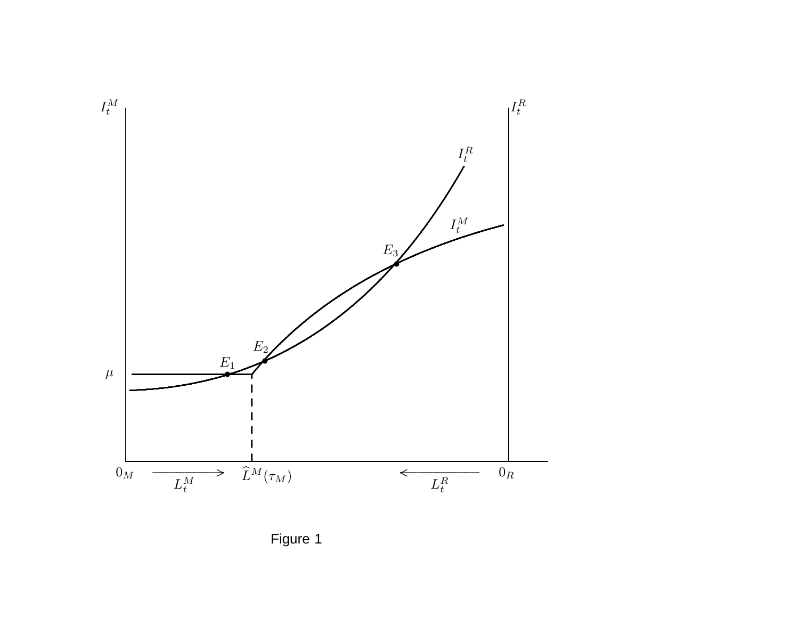

Figure 1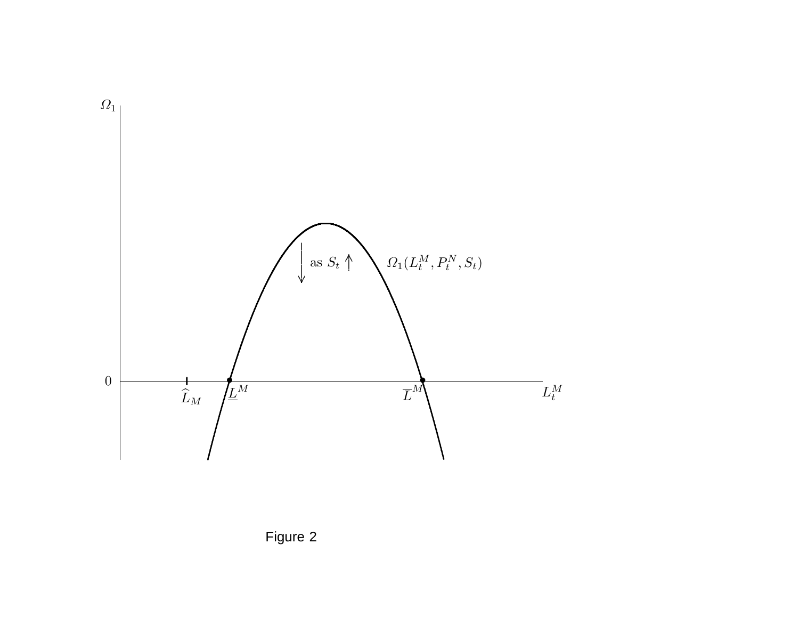

Figure 2